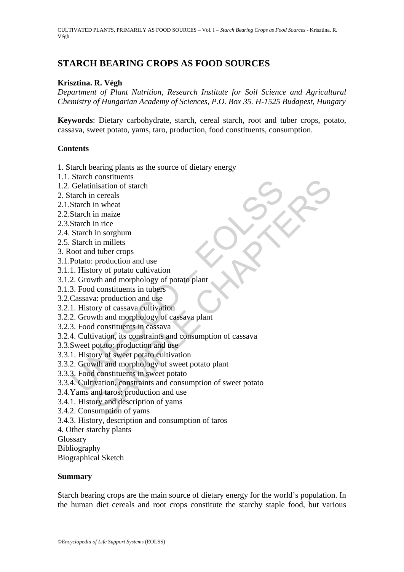# **STARCH BEARING CROPS AS FOOD SOURCES**

# **Krisztina. R. Végh**

*Department of Plant Nutrition, Research Institute for Soil Science and Agricultural Chemistry of Hungarian Academy of Sciences, P.O. Box 35. H-1525 Budapest, Hungary* 

**Keywords**: Dietary carbohydrate, starch, cereal starch, root and tuber crops, potato, cassava, sweet potato, yams, taro, production, food constituents, consumption.

### **Contents**

- 1. Starch bearing plants as the source of dietary energy
- 1.1. Starch constituents
- 1.2. Gelatinisation of starch
- 2. Starch in cereals
- 2.1.Starch in wheat
- 2.2.Starch in maize
- 2.3.Starch in rice
- 2.4. Starch in sorghum
- 2.5. Starch in millets
- 3. Root and tuber crops
- 3.1.Potato: production and use
- 3.1.1. History of potato cultivation
- 3.1.2. Growth and morphology of potato plant
- 3.1.3. Food constituents in tubers
- 3.2.Cassava: production and use
- 3.2.1. History of cassava cultivation
- 3.2.2. Growth and morphology of cassava plant
- 3.2.3. Food constituents in cassava
- 3.2.4. Cultivation, its constraints and consumption of cassava
- 3.3.Sweet potato: production and use
- 3.3.1. History of sweet potato cultivation
- 3.3.2. Growth and morphology of sweet potato plant
- 3.3.3. Food constituents in sweet potato
- Such consisted and consisted and consisted and consisted and the Varian state of increase the metal<br>Starch in maize<br>Starch in sorghum<br>Starch in sorghum<br>Starch in sorghum<br>Starch in sorghum<br>2. Growth and morphology of potato considerances<br>
in sitiation of stach<br>
in maize<br>
in miarize<br>
in miarize<br>
in miarize<br>
in miarize<br>
in miarize<br>
in miarize<br>
in miarize<br>
in miarize<br>
in miarize<br>
production and use<br>
acy of cassava cultivation<br>
at constituents in 3.3.4. Cultivation, constraints and consumption of sweet potato
- 3.4.Yams and taros: production and use
- 3.4.1. History and description of yams
- 3.4.2. Consumption of yams
- 3.4.3. History, description and consumption of taros
- 4. Other starchy plants
- Glossary
- Bibliography
- Biographical Sketch

#### **Summary**

Starch bearing crops are the main source of dietary energy for the world's population. In the human diet cereals and root crops constitute the starchy staple food, but various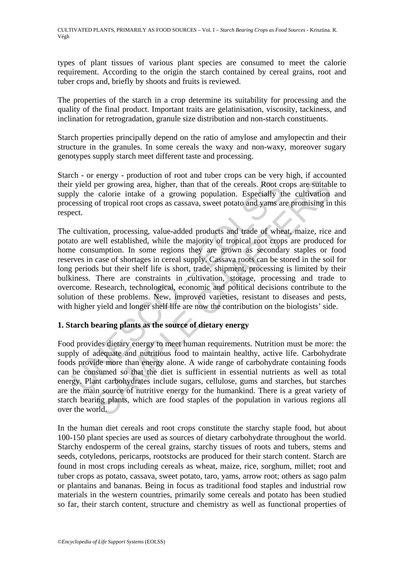types of plant tissues of various plant species are consumed to meet the calorie requirement. According to the origin the starch contained by cereal grains, root and tuber crops and, briefly by shoots and fruits is reviewed.

The properties of the starch in a crop determine its suitability for processing and the quality of the final product. Important traits are gelatinisation, viscosity, tackiness, and inclination for retrogradation, granule size distribution and non-starch constituents.

Starch properties principally depend on the ratio of amylose and amylopectin and their structure in the granules. In some cereals the waxy and non-waxy, moreover sugary genotypes supply starch meet different taste and processing.

Starch - or energy - production of root and tuber crops can be very high, if accounted their yield per growing area, higher, than that of the cereals. Root crops are suitable to supply the calorie intake of a growing population. Especially the cultivation and processing of tropical root crops as cassava, sweet potato and yams are promising in this respect.

r yield per growing area, higher, than that of the cereals. Root cry<br>by the calorie intake of a growing population. Especially the<br>casing of tropical root crops as cassava, sweet potato and yams are<br>ect.<br>cultivation, proce For growing area, higher, than that of the cereals. Root crops are suitable caloric intake of a growing population. Especially the cultivation of tropical root crops as cassava, sweet potato and yams are promising in tion, The cultivation, processing, value-added products and trade of wheat, maize, rice and potato are well established, while the majority of tropical root crops are produced for home consumption. In some regions they are grown as secondary staples or food reserves in case of shortages in cereal supply. Cassava roots can be stored in the soil for long periods but their shelf life is short, trade, shipment, processing is limited by their bulkiness. There are constraints in cultivation, storage, processing and trade to overcome. Research, technological, economic and political decisions contribute to the solution of these problems. New, improved varieties, resistant to diseases and pests, with higher yield and longer shelf life are now the contribution on the biologists' side.

# **1. Starch bearing plants as the source of dietary energy**

Food provides dietary energy to meet human requirements. Nutrition must be more: the supply of adequate and nutritious food to maintain healthy, active life. Carbohydrate foods provide more than energy alone. A wide range of carbohydrate containing foods can be consumed so that the diet is sufficient in essential nutrients as well as total energy. Plant carbohydrates include sugars, cellulose, gums and starches, but starches are the main source of nutritive energy for the humankind. There is a great variety of starch bearing plants, which are food staples of the population in various regions all over the world.

In the human diet cereals and root crops constitute the starchy staple food, but about 100-150 plant species are used as sources of dietary carbohydrate throughout the world. Starchy endosperm of the cereal grains, starchy tissues of roots and tubers, stems and seeds, cotyledons, pericarps, rootstocks are produced for their starch content. Starch are found in most crops including cereals as wheat, maize, rice, sorghum, millet; root and tuber crops as potato, cassava, sweet potato, taro, yams, arrow root; others as sago palm or plantains and bananas. Being in focus as traditional food staples and industrial row materials in the western countries, primarily some cereals and potato has been studied so far, their starch content, structure and chemistry as well as functional properties of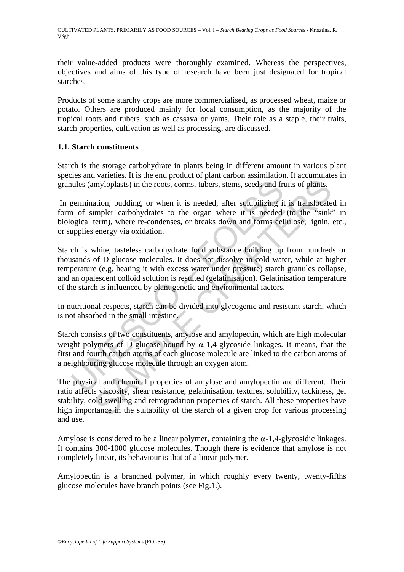their value-added products were thoroughly examined. Whereas the perspectives, objectives and aims of this type of research have been just designated for tropical starches.

Products of some starchy crops are more commercialised, as processed wheat, maize or potato. Others are produced mainly for local consumption, as the majority of the tropical roots and tubers, such as cassava or yams. Their role as a staple, their traits, starch properties, cultivation as well as processing, are discussed.

# **1.1. Starch constituents**

Starch is the storage carbohydrate in plants being in different amount in various plant species and varieties. It is the end product of plant carbon assimilation. It accumulates in granules (amyloplasts) in the roots, corms, tubers, stems, seeds and fruits of plants.

 In germination, budding, or when it is needed, after solubilizing it is translocated in form of simpler carbohydrates to the organ where it is needed (to the "sink" in biological term), where re-condenses, or breaks down and forms cellulose, lignin, etc., or supplies energy via oxidation.

nules (amyloplasts) in the roots, corms, tubers, stems, seeds and frigermination, budding, or when it is needed, after solubilizing it of simpler carbohydrates to the organ where it is needed ogicial term), where re-conde myloplasts) in the roots, corms, tubers, stems, seeds and fruits of plants.<br>
myloplasts) in the roots, corms, tubers, stems, seeds and fruits of plants.<br>
attion, budding, or when it is needed, after solubilizing it is tran Starch is white, tasteless carbohydrate food substance building up from hundreds or thousands of D-glucose molecules. It does not dissolve in cold water, while at higher temperature (e.g. heating it with excess water under pressure) starch granules collapse, and an opalescent colloid solution is resulted (gelatinisation). Gelatinisation temperature of the starch is influenced by plant genetic and environmental factors.

In nutritional respects, starch can be divided into glycogenic and resistant starch, which is not absorbed in the small intestine.

Starch consists of two constituents, amylose and amylopectin, which are high molecular weight polymers of D-glucose bound by  $\alpha$ -1,4-glycoside linkages. It means, that the first and fourth carbon atoms of each glucose molecule are linked to the carbon atoms of a neighbouring glucose molecule through an oxygen atom.

The physical and chemical properties of amylose and amylopectin are different. Their ratio affects viscosity, shear resistance, gelatinisation, textures, solubility, tackiness, gel stability, cold swelling and retrogradation properties of starch. All these properties have high importance in the suitability of the starch of a given crop for various processing and use.

Amylose is considered to be a linear polymer, containing the  $\alpha$ -1,4-glycosidic linkages. It contains 300-1000 glucose molecules. Though there is evidence that amylose is not completely linear, its behaviour is that of a linear polymer.

Amylopectin is a branched polymer, in which roughly every twenty, twenty-fifths glucose molecules have branch points (see Fig.1.).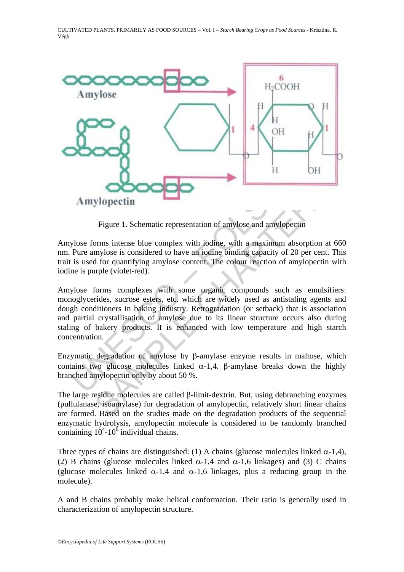

Figure 1. Schematic representation of amylose and amylopectin

Amylose forms intense blue complex with iodine, with a maximum absorption at 660 nm. Pure amylose is considered to have an iodine binding capacity of 20 per cent. This trait is used for quantifying amylose content. The colour reaction of amylopectin with iodine is purple (violet-red).

**Amylopectin**<br>
Figure 1. Schematic representation of amylose and amylose<br>
Figure 1. Schematic representation of amylose and amylose<br>
Pure amylose is considered to have an iodine binding capacity of<br>
is used for quantifyin **Subsettinum**<br> **Solution**<br> **Example 1. Schematic representation of amylose and amylopectin**<br>
orms intense blue complex with iodine, with a maximum absorption at<br>
mylose is considered to have an iodine binding capacity of Amylose forms complexes with some organic compounds such as emulsifiers: monoglycerides, sucrose esters, etc. which are widely used as antistaling agents and dough conditioners in baking industry. Retrogradation (or setback) that is association and partial crystallisation of amylose due to its linear structure occurs also during staling of bakery products. It is enhanced with low temperature and high starch concentration.

Enzymatic degradation of amylose by β-amylase enzyme results in maltose, which contains two glucose molecules linked  $\alpha$ -1,4. β-amylase breaks down the highly branched amylopectin only by about 50 %.

The large residue molecules are called β-limit-dextrin. But, using debranching enzymes (pullulanase, isoamylase) for degradation of amylopectin, relatively short linear chains are formed. Based on the studies made on the degradation products of the sequential enzymatic hydrolysis, amylopectin molecule is considered to be randomly branched containing  $10^4$ -10<sup>6</sup> individual chains.

Three types of chains are distinguished: (1) A chains (glucose molecules linked  $\alpha$ -1,4), (2) B chains (glucose molecules linked  $\alpha$ -1,4 and  $\alpha$ -1,6 linkages) and (3) C chains (glucose molecules linked  $\alpha$ -1,4 and  $\alpha$ -1,6 linkages, plus a reducing group in the molecule).

A and B chains probably make helical conformation. Their ratio is generally used in characterization of amylopectin structure.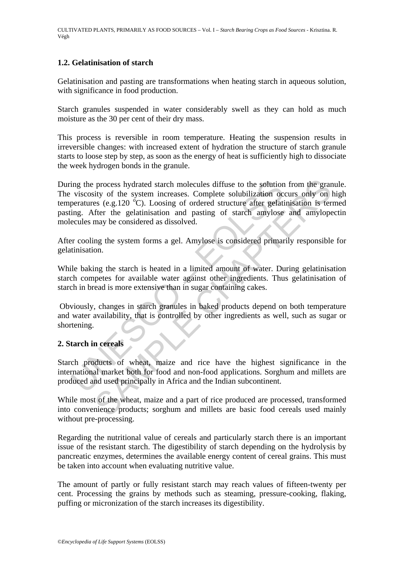# **1.2. Gelatinisation of starch**

Gelatinisation and pasting are transformations when heating starch in aqueous solution, with significance in food production.

Starch granules suspended in water considerably swell as they can hold as much moisture as the 30 per cent of their dry mass.

This process is reversible in room temperature. Heating the suspension results in irreversible changes: with increased extent of hydration the structure of starch granule starts to loose step by step, as soon as the energy of heat is sufficiently high to dissociate the week hydrogen bonds in the granule.

ing the process hydrated starch molecules diffuse to the solution<br>viscosity of the system increases. Complete solubilization oc<br>peratures (e.g.120 °C). Loosing of ordered structure after gelati<br>ing. After the gelatinisatio process hydrated starch molecules diffuse to the solution from the gratity of the system increases. Complete solubilization occurs only on lses (e.g.120 °C). Loosing of ordered structure after gelatinisation is ters (e.g.1 During the process hydrated starch molecules diffuse to the solution from the granule. The viscosity of the system increases. Complete solubilization occurs only on high temperatures (e.g.120  $^{\circ}$ C). Loosing of ordered structure after gelatinisation is termed pasting. After the gelatinisation and pasting of starch amylose and amylopectin molecules may be considered as dissolved.

After cooling the system forms a gel. Amylose is considered primarily responsible for gelatinisation.

While baking the starch is heated in a limited amount of water. During gelatinisation starch competes for available water against other ingredients. Thus gelatinisation of starch in bread is more extensive than in sugar containing cakes.

 Obviously, changes in starch granules in baked products depend on both temperature and water availability, that is controlled by other ingredients as well, such as sugar or shortening.

### **2. Starch in cereals**

Starch products of wheat, maize and rice have the highest significance in the international market both for food and non-food applications. Sorghum and millets are produced and used principally in Africa and the Indian subcontinent.

While most of the wheat, maize and a part of rice produced are processed, transformed into convenience products; sorghum and millets are basic food cereals used mainly without pre-processing.

Regarding the nutritional value of cereals and particularly starch there is an important issue of the resistant starch. The digestibility of starch depending on the hydrolysis by pancreatic enzymes, determines the available energy content of cereal grains. This must be taken into account when evaluating nutritive value.

The amount of partly or fully resistant starch may reach values of fifteen-twenty per cent. Processing the grains by methods such as steaming, pressure-cooking, flaking, puffing or micronization of the starch increases its digestibility.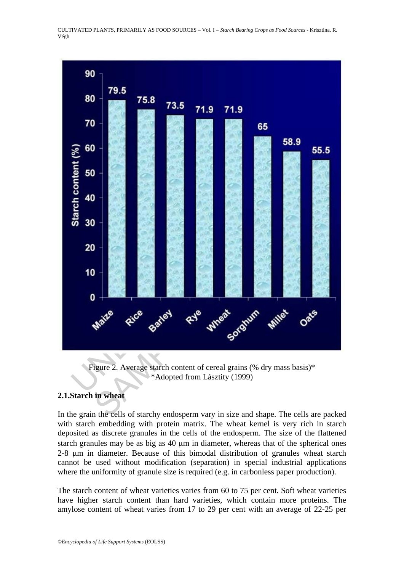

Figure 2. Average starch content of cereal grains (% dry mass basis)\* \*Adopted from Lásztity (1999)

# **2.1.Starch in wheat**

In the grain the cells of starchy endosperm vary in size and shape. The cells are packed with starch embedding with protein matrix. The wheat kernel is very rich in starch deposited as discrete granules in the cells of the endosperm. The size of the flattened starch granules may be as big as 40 μm in diameter, whereas that of the spherical ones 2-8 μm in diameter. Because of this bimodal distribution of granules wheat starch cannot be used without modification (separation) in special industrial applications where the uniformity of granule size is required (e.g. in carbonless paper production).

The starch content of wheat varieties varies from 60 to 75 per cent. Soft wheat varieties have higher starch content than hard varieties, which contain more proteins. The amylose content of wheat varies from 17 to 29 per cent with an average of 22-25 per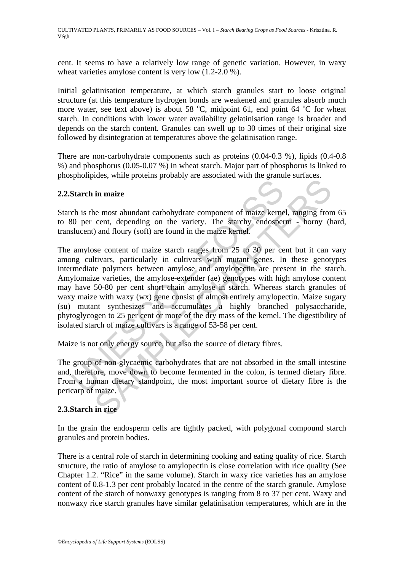cent. It seems to have a relatively low range of genetic variation. However, in waxy wheat varieties amylose content is very low  $(1.2-2.0\%)$ .

Initial gelatinisation temperature, at which starch granules start to loose original structure (at this temperature hydrogen bonds are weakened and granules absorb much more water, see text above) is about 58  $^{\circ}$ C, midpoint 61, end point 64  $^{\circ}$ C for wheat starch. In conditions with lower water availability gelatinisation range is broader and depends on the starch content. Granules can swell up to 30 times of their original size followed by disintegration at temperatures above the gelatinisation range.

There are non-carbohydrate components such as proteins (0.04-0.3 %), lipids (0.4-0.8 %) and phosphorus (0.05-0.07 %) in wheat starch. Major part of phosphorus is linked to phospholipides, while proteins probably are associated with the granule surfaces.

# **2.2.Starch in maize**

Starch is the most abundant carbohydrate component of maize kernel, ranging from 65 to 80 per cent, depending on the variety. The starchy endosperm - horny (hard, translucent) and floury (soft) are found in the maize kernel.

**Starch in maize**<br>
ch is the most abundant carbohydrate component of maize kerne<br>
80 per cent, depending on the variety. The starchy endosper<br>
slucent) and floury (soft) are found in the maize kernel.<br>
amylose content of m The matrix product proton of maize that are galaxies and product in maize<br>
in maize<br>
are most abundant carbohydrate component of maize kernel, ranging from<br>
cent, depending on the variety. The starchy endosperm - horny (b The amylose content of maize starch ranges from 25 to 30 per cent but it can vary among cultivars, particularly in cultivars with mutant genes. In these genotypes intermediate polymers between amylose and amylopectin are present in the starch. Amylomaize varieties, the amylose-extender (ae) genotypes with high amylose content may have 50-80 per cent short chain amylose in starch. Whereas starch granules of waxy maize with waxy (wx) gene consist of almost entirely amylopectin. Maize sugary (su) mutant synthesizes and accumulates a highly branched polysaccharide, phytoglycogen to 25 per cent or more of the dry mass of the kernel. The digestibility of isolated starch of maize cultivars is a range of 53-58 per cent.

Maize is not only energy source, but also the source of dietary fibres.

The group of non-glycaemic carbohydrates that are not absorbed in the small intestine and, therefore, move down to become fermented in the colon, is termed dietary fibre. From a human dietary standpoint, the most important source of dietary fibre is the pericarp of maize.

# **2.3.Starch in rice**

In the grain the endosperm cells are tightly packed, with polygonal compound starch granules and protein bodies.

There is a central role of starch in determining cooking and eating quality of rice. Starch structure, the ratio of amylose to amylopectin is close correlation with rice quality (See Chapter 1.2. "Rice" in the same volume). Starch in waxy rice varieties has an amylose content of 0.8-1.3 per cent probably located in the centre of the starch granule. Amylose content of the starch of nonwaxy genotypes is ranging from 8 to 37 per cent. Waxy and nonwaxy rice starch granules have similar gelatinisation temperatures, which are in the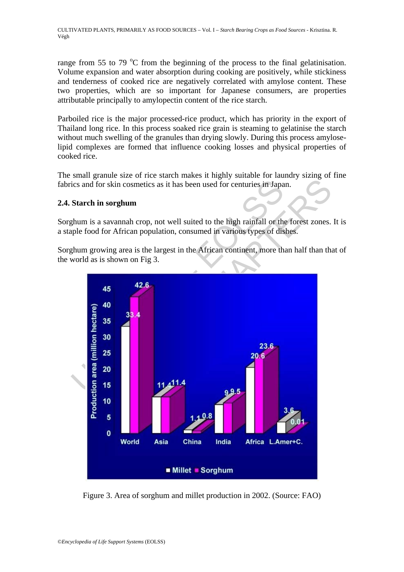range from 55 to 79  $\degree$ C from the beginning of the process to the final gelatinisation. Volume expansion and water absorption during cooking are positively, while stickiness and tenderness of cooked rice are negatively correlated with amylose content. These two properties, which are so important for Japanese consumers, are properties attributable principally to amylopectin content of the rice starch.

Parboiled rice is the major processed-rice product, which has priority in the export of Thailand long rice. In this process soaked rice grain is steaming to gelatinise the starch without much swelling of the granules than drying slowly. During this process amyloselipid complexes are formed that influence cooking losses and physical properties of cooked rice.

The small granule size of rice starch makes it highly suitable for laundry sizing of fine fabrics and for skin cosmetics as it has been used for centuries in Japan.

# **2.4. Starch in sorghum**

Sorghum is a savannah crop, not well suited to the high rainfall or the forest zones. It is a staple food for African population, consumed in various types of dishes.

Sorghum growing area is the largest in the African continent, more than half than that of the world as is shown on Fig 3.



Figure 3. Area of sorghum and millet production in 2002. (Source: FAO)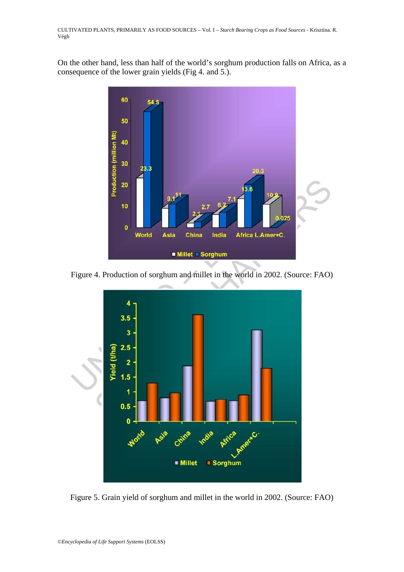On the other hand, less than half of the world's sorghum production falls on Africa, as a consequence of the lower grain yields (Fig 4. and 5.).



Figure 4. Production of sorghum and millet in the world in 2002. (Source: FAO)



Figure 5. Grain yield of sorghum and millet in the world in 2002. (Source: FAO)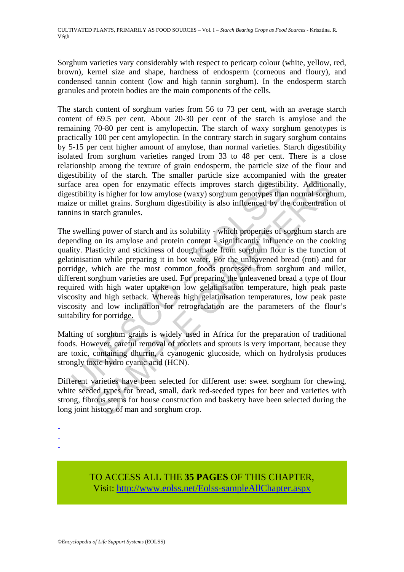Sorghum varieties vary considerably with respect to pericarp colour (white, yellow, red, brown), kernel size and shape, hardness of endosperm (corneous and floury), and condensed tannin content (low and high tannin sorghum). In the endosperm starch granules and protein bodies are the main components of the cells.

The starch content of sorghum varies from 56 to 73 per cent, with an average starch content of 69.5 per cent. About 20-30 per cent of the starch is amylose and the remaining 70-80 per cent is amylopectin. The starch of waxy sorghum genotypes is practically 100 per cent amylopectin. In the contrary starch in sugary sorghum contains by 5-15 per cent higher amount of amylose, than normal varieties. Starch digestibility isolated from sorghum varieties ranged from 33 to 48 per cent. There is a close relationship among the texture of grain endosperm, the particle size of the flour and digestibility of the starch. The smaller particle size accompanied with the greater surface area open for enzymatic effects improves starch digestibility. Additionally, digestibility is higher for low amylose (waxy) sorghum genotypes than normal sorghum, maize or millet grains. Sorghum digestibility is also influenced by the concentration of tannins in starch granules.

ace area open for enzymatic effects improves starch digestibited stibility is higher for low amylose (waxy) sorghum genotypes that exerce or millet grains. Sorghum digestibility is also influenced by the set or millet grai as open for enzymatic effects improves starch digestibility. Addition<br>as open for enzymatic effects improves starch digestibility. Addition<br>y is higher for low amylose (waxy) sorghum genotypes than normal sorg<br>illet grains The swelling power of starch and its solubility - which properties of sorghum starch are depending on its amylose and protein content - significantly influence on the cooking quality. Plasticity and stickiness of dough made from sorghum flour is the function of gelatinisation while preparing it in hot water. For the unleavened bread (roti) and for porridge, which are the most common foods processed from sorghum and millet, different sorghum varieties are used. For preparing the unleavened bread a type of flour required with high water uptake on low gelatinisation temperature, high peak paste viscosity and high setback. Whereas high gelatinisation temperatures, low peak paste viscosity and low inclination for retrogradation are the parameters of the flour's suitability for porridge.

Malting of sorghum grains is widely used in Africa for the preparation of traditional foods. However, careful removal of rootlets and sprouts is very important, because they are toxic, containing dhurrin, a cyanogenic glucoside, which on hydrolysis produces strongly toxic hydro cyanic acid (HCN).

Different varieties have been selected for different use: sweet sorghum for chewing, white seeded types for bread, small, dark red-seeded types for beer and varieties with strong, fibrous stems for house construction and basketry have been selected during the long joint history of man and sorghum crop.

- -
- -
- -

TO ACCESS ALL THE **35 PAGES** OF THIS CHAPTER, Visit[: http://www.eolss.net/Eolss-sampleAllChapter.aspx](https://www.eolss.net/ebooklib/sc_cart.aspx?File=E5-02-03-03)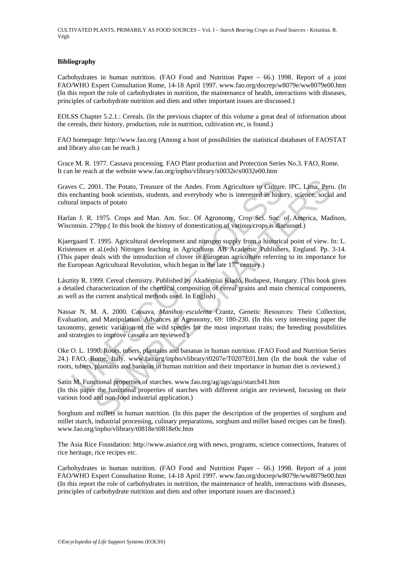#### **Bibliography**

Carbohydrates in human nutrition. (FAO Food and Nutrition Paper – 66.) 1998. Report of a joint FAO/WHO Expert Consultation Rome, 14-18 April 1997. www.fao.org/docrep/w8079e/ww8079e00.htm (In this report the role of carbohydrates in nutrition, the maintenance of health, interactions with diseases, principles of carbohydrate nutrition and diets and other important issues are discussed.)

EOLSS Chapter 5.2.1.: Cereals. (In the previous chapter of this volume a great deal of information about the cereals, their history, production, role in nutrition, cultivation etc, is found.)

FAO homepage: http://www.fao.org (Among a host of possibilities the statistical databases of FAOSTAT and library also can be reach.)

Grace M. R. 1977. Cassava processing. FAO Plant production and Protection Series No.3. FAO, Rome. It can be reach at the website www.fao.org/inpho/vlibrary/x0032e/x0032e00.htm

Graves C. 2001. The Potato, Treasure of the Andes. From Agriculture to Culture. IPC, Lima, Peru. (In this enchanting book scientists, students, and everybody who is interested in history, science, social and cultural impacts of potato

Harlan J. R. 1975. Crops and Man. Am. Soc. Of Agronomy, Crop Sci. Soc. of America, Madison, Wisconsin. 279pp.( In this book the history of domestication of various crops is discussed.)

Kjaergaard T. 1995. Agricultural development and nitrogen supply from a historical point of view. In: L. Kristensen et al.(eds) Nitrogen leaching in Agriculture. AB Academic Publishers, England. Pp. 3-14. (This paper deals with the introduction of clover in European agriculture referring to its importance for the European Agricultural Revolution, which began in the late  $17<sup>th</sup>$  century.)

Lásztity R. 1999. Cereal chemistry. Published by Akadémiai Kiadó, Budapest, Hungary. (This book gives a detailed characterization of the chemical composition of cereal grains and main chemical components, as well as the current analytical methods used. In English)

es C. 2001. The Potato, Treasure of the Andes. From Agriculture to Culture<br>enchanting book scientists, students, and everybody who is interested in historia<br>ma J. R. 1975. Crops and Man. Am. Soc. Of Agronomy. Crop Sei. Soc 001. The Potato, Treasure of the Andes. From Agriculture to Culture. IPC, Lima, Pert<br>ng book scientists, students, and everybody who is interested in history, science, sociats of potato<br>1975. Crops and Man. Am. Soc. Of Ag Nassar N. M. A. 2000. Cassava, *Manihot esculenta* Crantz, Genetic Resources: Their Collection, Evaluation, and Manipulation. Advances in Agronomy, 69: 180-230. (In this very interesting paper the taxonomy, genetic variation of the wild species for the most important traits; the breeding possibilities and strategies to improve cassava are reviewed.)

Oke O. L. 1990. Roots, tubers, plantains and bananas in human nutrition. (FAO Food and Nutrition Series 24.) FAO, Rome, Italy. www.fao.org/inpho/vlibrary/t0207e/T0207E01.htm (In the book the value of roots, tubers, plantains and bananas in human nutrition and their importance in human diet is reviewed.)

Satin M. Functional properties of starches. www.fao.org/ag/ags/agsi/starch41.htm (In this paper the functional properties of starches with different origin are reviewed, focusing on their various food and non-food industrial application.)

Sorghum and millets in human nutrition. (In this paper the description of the properties of sorghum and millet starch, industrial processing, culinary preparations, sorghum and millet based recipes can be fined). www.fao.org/inpho/vlibrary/t0818e/t0818e0c.htm

The Asia Rice Foundation: http://www.asiarice.org with news, programs, science connections, features of rice heritage, rice recipes etc.

Carbohydrates in human nutrition. (FAO Food and Nutrition Paper – 66.) 1998. Report of a joint FAO/WHO Expert Consultation Rome, 14-18 April 1997. www.fao.org/docrep/w8079e/ww8079e00.htm (In this report the role of carbohydrates in nutrition, the maintenance of health, interactions with diseases, principles of carbohydrate nutrition and diets and other important issues are discussed.)